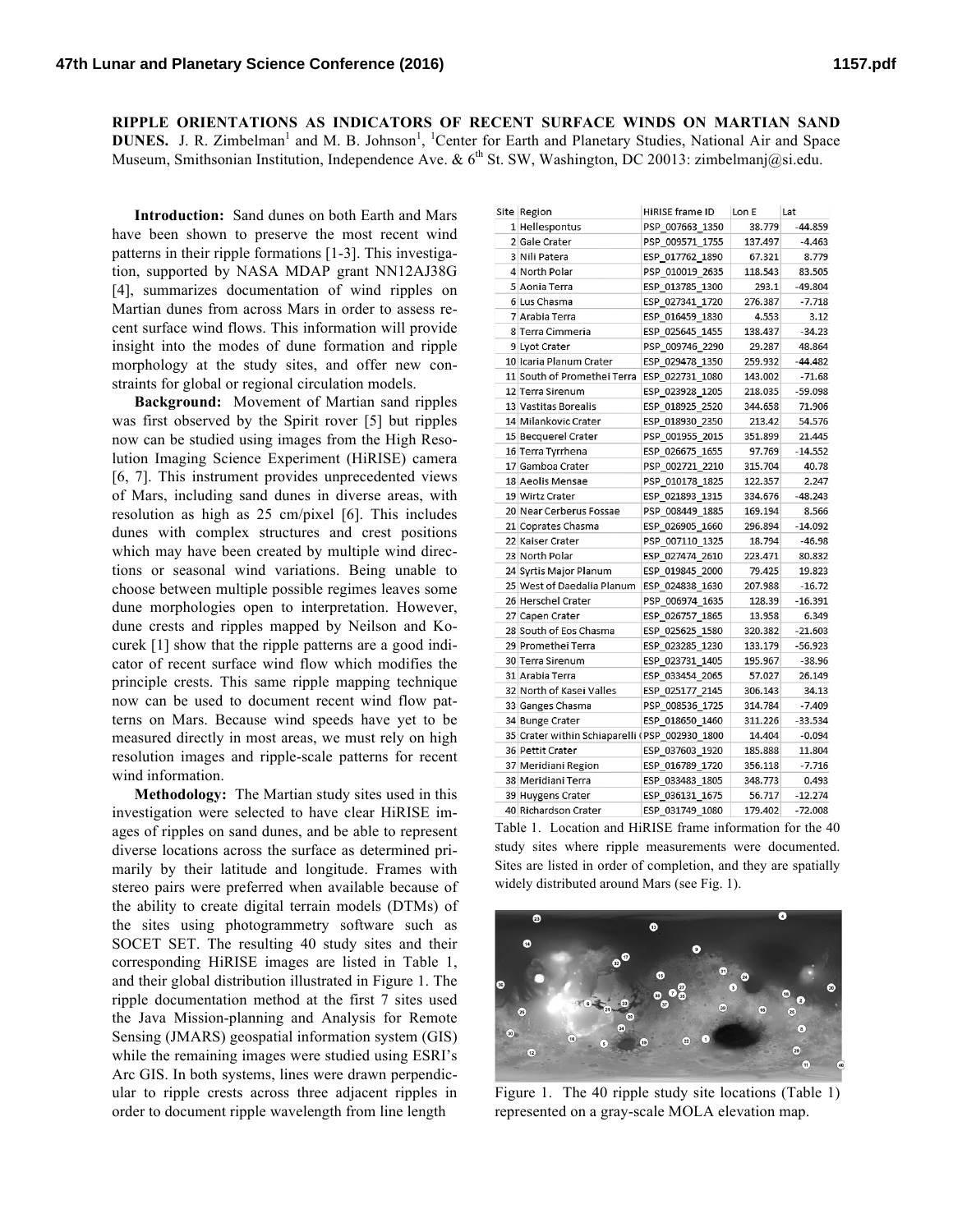**RIPPLE ORIENTATIONS AS INDICATORS OF RECENT SURFACE WINDS ON MARTIAN SAND DUNES.** J. R. Zimbelman<sup>1</sup> and M. B. Johnson<sup>1</sup>, <sup>1</sup>Center for Earth and Planetary Studies, National Air and Space Museum, Smithsonian Institution, Independence Ave. & 6<sup>th</sup> St. SW, Washington, DC 20013: zimbelmanj@si.edu.

**Introduction:** Sand dunes on both Earth and Mars have been shown to preserve the most recent wind patterns in their ripple formations [1-3]. This investigation, supported by NASA MDAP grant NN12AJ38G [4], summarizes documentation of wind ripples on Martian dunes from across Mars in order to assess recent surface wind flows. This information will provide insight into the modes of dune formation and ripple morphology at the study sites, and offer new constraints for global or regional circulation models.

**Background:** Movement of Martian sand ripples was first observed by the Spirit rover [5] but ripples now can be studied using images from the High Resolution Imaging Science Experiment (HiRISE) camera [6, 7]. This instrument provides unprecedented views of Mars, including sand dunes in diverse areas, with resolution as high as 25 cm/pixel [6]. This includes dunes with complex structures and crest positions which may have been created by multiple wind directions or seasonal wind variations. Being unable to choose between multiple possible regimes leaves some dune morphologies open to interpretation. However, dune crests and ripples mapped by Neilson and Kocurek [1] show that the ripple patterns are a good indicator of recent surface wind flow which modifies the principle crests. This same ripple mapping technique now can be used to document recent wind flow patterns on Mars. Because wind speeds have yet to be measured directly in most areas, we must rely on high resolution images and ripple-scale patterns for recent wind information.

**Methodology:** The Martian study sites used in this investigation were selected to have clear HiRISE images of ripples on sand dunes, and be able to represent diverse locations across the surface as determined primarily by their latitude and longitude. Frames with stereo pairs were preferred when available because of the ability to create digital terrain models (DTMs) of the sites using photogrammetry software such as SOCET SET. The resulting 40 study sites and their corresponding HiRISE images are listed in Table 1, and their global distribution illustrated in Figure 1. The ripple documentation method at the first 7 sites used the Java Mission-planning and Analysis for Remote Sensing (JMARS) geospatial information system (GIS) while the remaining images were studied using ESRI's Arc GIS. In both systems, lines were drawn perpendicular to ripple crests across three adjacent ripples in order to document ripple wavelength from line length

| Site Region                                    | HiRISE frame ID | Lon E   | Lat       |
|------------------------------------------------|-----------------|---------|-----------|
| 1 Hellespontus                                 | PSP 007663 1350 | 38.779  | $-44.859$ |
| 2 Gale Crater                                  | PSP 009571_1755 | 137.497 | $-4.463$  |
| 3 Nili Patera                                  | ESP 017762 1890 | 67.321  | 8.779     |
| 4 North Polar                                  | PSP 010019 2635 | 118.543 | 83.505    |
| 5 Aonia Terra                                  | ESP 013785 1300 | 293.1   | $-49.804$ |
| 6 Lus Chasma                                   | ESP 027341 1720 | 276.387 | $-7.718$  |
| 7 Arabia Terra                                 | ESP 016459 1830 | 4.553   | 3.12      |
| 8 Terra Cimmeria                               | ESP 025645 1455 | 138.437 | $-34.23$  |
| 9 Lyot Crater                                  | PSP 009746 2290 | 29.287  | 48.864    |
| 10 Icaria Planum Crater                        | ESP 029478 1350 | 259.932 | $-44.482$ |
| 11 South of Promethei Terra                    | ESP 022731 1080 | 143.002 | $-71.68$  |
| 12 Terra Sirenum                               | ESP 023928 1205 | 218.035 | $-59.098$ |
| 13 Vastitas Borealis                           | ESP 018925 2520 | 344.658 | 71.906    |
| 14 Milankovic Crater                           | ESP 018930 2350 | 213.42  | 54.576    |
| 15 Becquerel Crater                            | PSP 001955 2015 | 351.899 | 21.445    |
| 16 Terra Tyrrhena                              | ESP 026675 1655 | 97.769  | $-14.552$ |
| 17 Gamboa Crater                               | PSP 002721 2210 | 315.704 | 40.78     |
| 18 Aeolis Mensae                               | PSP 010178 1825 | 122.357 | 2.247     |
| 19 Wirtz Crater                                | ESP 021893_1315 | 334.676 | $-48.243$ |
| 20 Near Cerberus Fossae                        | PSP 008449 1885 | 169.194 | 8.566     |
| 21 Coprates Chasma                             | ESP 026905 1660 | 296.894 | $-14.092$ |
| 22 Kaiser Crater                               | PSP 007110 1325 | 18.794  | $-46.98$  |
| 23 North Polar                                 | ESP 027474 2610 | 223.471 | 80.832    |
| 24 Syrtis Major Planum                         | ESP 019845 2000 | 79.425  | 19.823    |
| 25 West of Daedalia Planum                     | ESP 024838 1630 | 207.988 | $-16.72$  |
| 26 Herschel Crater                             | PSP_006974_1635 | 128.39  | $-16.391$ |
| 27 Capen Crater                                | ESP 026757 1865 | 13.958  | 6.349     |
| 28 South of Eos Chasma                         | ESP 025625 1580 | 320.382 | $-21.603$ |
| 29 Promethei Terra                             | ESP 023285 1230 | 133.179 | $-56.923$ |
| 30 Terra Sirenum                               | ESP 023731 1405 | 195.967 | $-38.96$  |
| 31 Arabia Terra                                | ESP 033454 2065 | 57.027  | 26.149    |
| 32 North of Kasei Valles                       | ESP 025177 2145 | 306.143 | 34.13     |
| 33 Ganges Chasma                               | PSP 008536 1725 | 314.784 | $-7.409$  |
| 34 Bunge Crater                                | ESP 018650 1460 | 311.226 | $-33.534$ |
| 35 Crater within Schiaparelli (PSP 002930 1800 |                 | 14.404  | $-0.094$  |
| 36 Pettit Crater                               | ESP 037603 1920 | 185.888 | 11.804    |
| 37 Meridiani Region                            | ESP_016789_1720 | 356.118 | $-7.716$  |
| 38 Meridiani Terra                             | ESP 033483 1805 | 348.773 | 0.493     |
| 39 Huygens Crater                              | ESP 036131 1675 | 56.717  | $-12.274$ |
| 40 Pichardson Crator                           | ECD 021749 1090 | 170.002 | 72.000    |

Table 1. Location and HiRISE frame information for the 40 study sites where ripple measurements were documented. Sites are listed in order of completion, and they are spatially widely distributed around Mars (see Fig. 1).



Figure 1. The 40 ripple study site locations (Table 1) represented on a gray-scale MOLA elevation map.